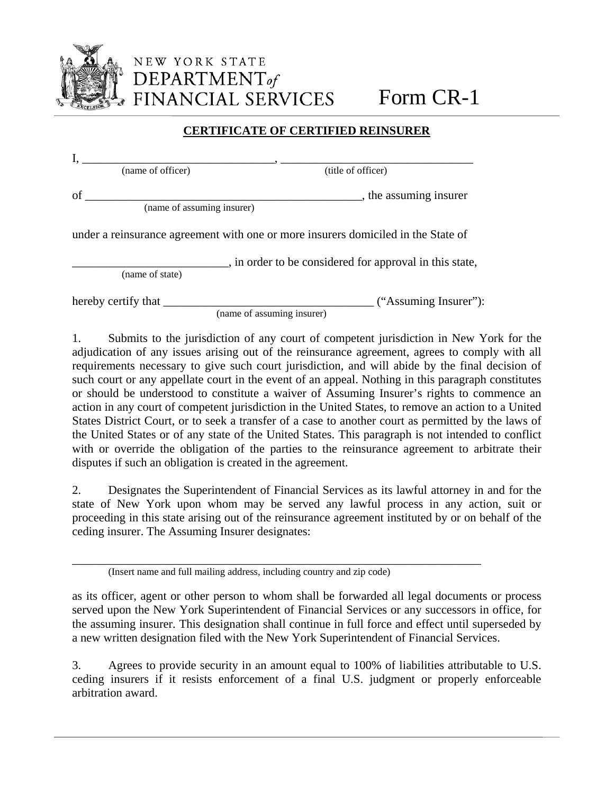

## **CERTIFICATE OF CERTIFIED REINSURER**

| (name of officer)          | (title of officer)                                                                |
|----------------------------|-----------------------------------------------------------------------------------|
| of                         | , the assuming insurer                                                            |
| (name of assuming insurer) |                                                                                   |
|                            | under a reinsurance agreement with one or more insurers domiciled in the State of |
|                            | , in order to be considered for approval in this state,                           |
| (name of state)            |                                                                                   |
| hereby certify that ______ | ("Assuming Insurer"):                                                             |

(name of assuming insurer)

1. Submits to the jurisdiction of any court of competent jurisdiction in New York for the adjudication of any issues arising out of the reinsurance agreement, agrees to comply with all requirements necessary to give such court jurisdiction, and will abide by the final decision of such court or any appellate court in the event of an appeal. Nothing in this paragraph constitutes or should be understood to constitute a waiver of Assuming Insurer's rights to commence an action in any court of competent jurisdiction in the United States, to remove an action to a United States District Court, or to seek a transfer of a case to another court as permitted by the laws of the United States or of any state of the United States. This paragraph is not intended to conflict with or override the obligation of the parties to the reinsurance agreement to arbitrate their disputes if such an obligation is created in the agreement.

2. Designates the Superintendent of Financial Services as its lawful attorney in and for the state of New York upon whom may be served any lawful process in any action, suit or proceeding in this state arising out of the reinsurance agreement instituted by or on behalf of the ceding insurer. The Assuming Insurer designates:

\_\_\_\_\_\_\_\_\_\_\_\_\_\_\_\_\_\_\_\_\_\_\_\_\_\_\_\_\_\_\_\_\_\_\_\_\_\_\_\_\_\_\_\_\_\_\_\_\_\_\_\_\_\_\_\_\_\_\_\_\_\_\_\_\_\_\_\_ (Insert name and full mailing address, including country and zip code)

as its officer, agent or other person to whom shall be forwarded all legal documents or process served upon the New York Superintendent of Financial Services or any successors in office, for the assuming insurer. This designation shall continue in full force and effect until superseded by a new written designation filed with the New York Superintendent of Financial Services.

3. Agrees to provide security in an amount equal to 100% of liabilities attributable to U.S. ceding insurers if it resists enforcement of a final U.S. judgment or properly enforceable arbitration award.